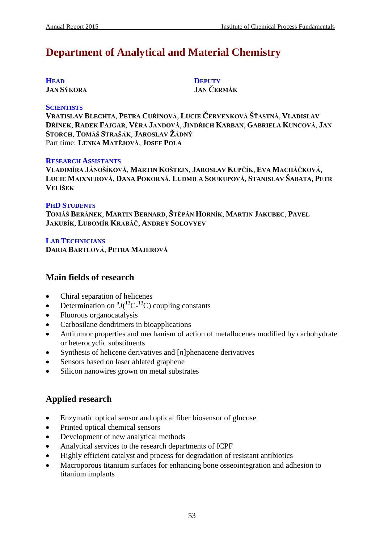# **Department of Analytical and Material Chemistry**

| <b>HEAD</b>       |
|-------------------|
| <b>JAN SÝKORA</b> |

**DEPUTY JAN ČERMÁK**

#### **SCIENTISTS**

**VRATISLAV BLECHTA**, **PETRA CUŘÍNOVÁ**, **LUCIE ČERVENKOVÁ ŠŤASTNÁ**, **VLADISLAV DŘÍNEK**, **RADEK FAJGAR**, **VĚRA JANDOVÁ**, **JINDŘICH KARBAN**, **GABRIELA KUNCOVÁ**, **JAN STORCH**, **TOMÁŠ STRAŠÁK**, **JAROSLAV ŽÁDNÝ** Part time: **LENKA MATĚJOVÁ**, **JOSEF POLA**

#### **RESEARCH ASSISTANTS**

**VLADIMÍRA JÁNOŠÍKOVÁ**, **MARTIN KOŠTEJN**, **JAROSLAV KUPČÍK**, **EVA MACHÁČKOVÁ**, **LUCIE MAIXNEROVÁ**, **DANA POKORNÁ**, **LUDMILA SOUKUPOVÁ**, **STANISLAV ŠABATA**, **PETR VELÍŠEK**

### **PHD STUDENTS**

**TOMÁŠ BERÁNEK**, **MARTIN BERNARD**, **ŠTĚPÁN HORNÍK**, **MARTIN JAKUBEC**, **PAVEL JAKUBÍK**, **LUBOMÍR KRABÁČ**, **ANDREY SOLOVYEV**

### **LAB TECHNICIANS DARIA BARTLOVÁ**, **PETRA MAJEROVÁ**

# **Main fields of research**

- Chiral separation of helicenes
- Determination on  ${}^{n}J(^{13}C^{-13}C)$  coupling constants
- Fluorous organocatalysis
- Carbosilane dendrimers in bioapplications
- Antitumor properties and mechanism of action of metallocenes modified by carbohydrate or heterocyclic substituents
- Synthesis of helicene derivatives and [*n*]phenacene derivatives
- Sensors based on laser ablated graphene
- Silicon nanowires grown on metal substrates

# **Applied research**

- Enzymatic optical sensor and optical fiber biosensor of glucose
- Printed optical chemical sensors
- Development of new analytical methods
- Analytical services to the research departments of ICPF
- Highly efficient catalyst and process for degradation of resistant antibiotics
- Macroporous titanium surfaces for enhancing bone osseointegration and adhesion to titanium implants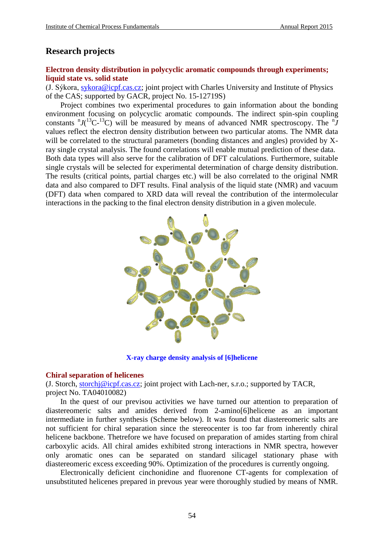# **Research projects**

# **Electron density distribution in polycyclic aromatic compounds through experiments; liquid state vs. solid state**

(J. Sýkora, [sykora@icpf.cas.cz;](mailto:sykora@icpf.cas.cz) joint project with Charles University and Institute of Physics of the CAS; supported by GACR, project No. 15-12719S)

Project combines two experimental procedures to gain information about the bonding environment focusing on polycyclic aromatic compounds. The indirect spin-spin coupling constants  ${}^{n}J(^{13}C^{-13}C)$  will be measured by means of advanced NMR spectroscopy. The  ${}^{n}J$ values reflect the electron density distribution between two particular atoms. The NMR data will be correlated to the structural parameters (bonding distances and angles) provided by Xray single crystal analysis. The found correlations will enable mutual prediction of these data. Both data types will also serve for the calibration of DFT calculations. Furthermore, suitable single crystals will be selected for experimental determination of charge density distribution. The results (critical points, partial charges etc.) will be also correlated to the original NMR data and also compared to DFT results. Final analysis of the liquid state (NMR) and vacuum (DFT) data when compared to XRD data will reveal the contribution of the intermolecular interactions in the packing to the final electron density distribution in a given molecule.



**X-ray charge density analysis of [6]helicene**

#### **Chiral separation of helicenes**

(J. Storch, [storchj@icpf.cas.cz;](mailto:storchj@icpf.cas.cz) joint project with Lach-ner, s.r.o.; supported by TACR, project No. TA04010082)

In the quest of our previsou activities we have turned our attention to preparation of diastereomeric salts and amides derived from 2-amino[6]helicene as an important intermediate in further synthesis (Scheme below). It was found that diastereomeric salts are not sufficient for chiral separation since the stereocenter is too far from inherently chiral helicene backbone. Thetrefore we have focused on preparation of amides starting from chiral carboxylic acids. All chiral amides exhibited strong interactions in NMR spectra, however only aromatic ones can be separated on standard silicagel stationary phase with diastereomeric excess exceeding 90%. Optimization of the procedures is currently ongoing.

Electronically deficient cinchonidine and fluorenone CT-agents for complexation of unsubstituted helicenes prepared in prevous year were thoroughly studied by means of NMR.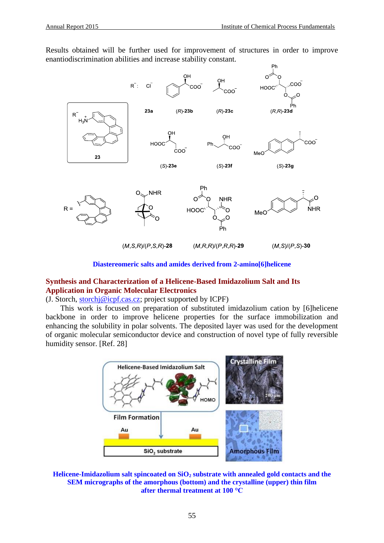Results obtained will be further used for improvement of structures in order to improve enantiodiscrimination abilities and increase stability constant.



### **Diastereomeric salts and amides derived from 2-amino[6]helicene**

# **Synthesis and Characterization of a Helicene-Based Imidazolium Salt and Its Application in Organic Molecular Electronics**

(J. Storch,  $storch  $\circ$  icpf.  
cases; project supported by ICPF)$ </u>

This work is focused on preparation of substituted imidazolium cation by [6]helicene backbone in order to improve helicene properties for the surface immobilization and enhancing the solubility in polar solvents. The deposited layer was used for the development of organic molecular semiconductor device and construction of novel type of fully reversible humidity sensor. [Ref. 28]

![](_page_2_Figure_8.jpeg)

**Helicene-Imidazolium salt spincoated on SiO<sup>2</sup> substrate with annealed gold contacts and the SEM micrographs of the amorphous (bottom) and the crystalline (upper) thin film after thermal treatment at 100 °C**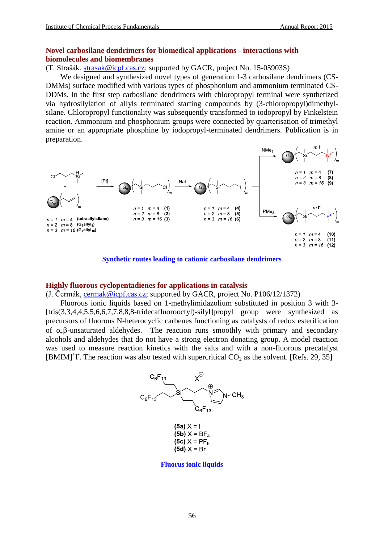## **Novel carbosilane dendrimers for biomedical applications - interactions with biomolecules and biomembranes**

(T. Strašák, [strasak@icpf.cas.cz;](mailto:strasak@icpf.cas.cz) supported by GACR, project No. 15-05903S)

We designed and synthesized novel types of generation 1-3 carbosilane dendrimers (CS-DMMs) surface modified with various types of phosphonium and ammonium terminated CS-DDMs. In the first step carbosilane dendrimers with chloropropyl terminal were synthetized via hydrosilylation of allyls terminated starting compounds by (3-chloropropyl)dimethylsilane. Chloropropyl functionality was subsequently transformed to iodopropyl by Finkelstein reaction. Ammonium and phosphonium groups were connected by quarterisation of trimethyl amine or an appropriate phosphine by iodopropyl-terminated dendrimers. Publication is in preparation.

![](_page_3_Figure_5.jpeg)

**Synthetic routes leading to cationic carbosilane dendrimers**

#### **Highly fluorous cyclopentadienes for applications in catalysis**

(J. Čermák, [cermak@icpf.cas.cz;](mailto:cermak@icpf.cas.cz) supported by GACR, project No. P106/12/1372)

Fluorous ionic liquids based on 1-methylimidazolium substituted in position 3 with 3- [tris(3,3,4,4,5,5,6,6,7,7,8,8,8-tridecafluorooctyl)-silyl]propyl group were synthesized as precursors of fluorous N-heterocyclic carbenes functioning as catalysts of redox esterification of  $\alpha$ ,  $\beta$ -unsaturated aldehydes. The reaction runs smoothly with primary and secondary alcohols and aldehydes that do not have a strong electron donating group. A model reaction was used to measure reaction kinetics with the salts and with a non-fluorous precatalyst [BMIM]<sup>+</sup>I. The reaction was also tested with supercritical  $CO_2$  as the solvent. [Refs. 29, 35]

![](_page_3_Figure_10.jpeg)

**Fluorus ionic liquids**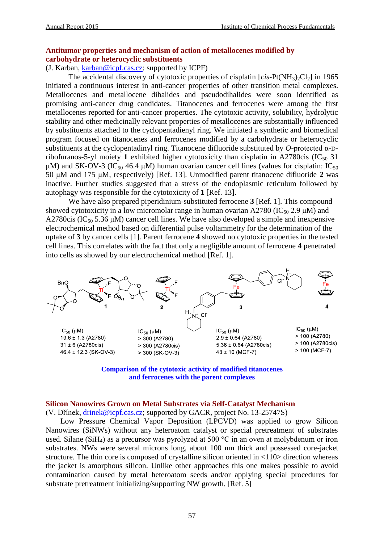# **Antitumor properties and mechanism of action of metallocenes modified by carbohydrate or heterocyclic substituents**

# (J. Karban, [karban@icpf.cas.cz;](mailto:karban@icpf.cas.cz) supported by ICPF)

The accidental discovery of cytotoxic properties of cisplatin  $[cis-Pt(NH<sub>3</sub>)<sub>2</sub>Cl<sub>2</sub>]$  in 1965 initiated a continuous interest in anti-cancer properties of other transition metal complexes. Metallocenes and metallocene dihalides and pseudodihalides were soon identified as promising anti-cancer drug candidates. Titanocenes and ferrocenes were among the first metallocenes reported for anti-cancer properties. The cytotoxic activity, solubility, hydrolytic stability and other medicinally relevant properties of metallocenes are substantially influenced by substituents attached to the cyclopentadienyl ring. We initiated a synthetic and biomedical program focused on titanocenes and ferrocenes modified by a carbohydrate or heterocyclic substituents at the cyclopentadinyl ring. Titanocene difluoride substituted by *O*-protected α-Dribofuranos-5-yl moiety 1 exhibited higher cytotoxicity than cisplatin in A2780cis (IC<sub>50</sub> 31) μM) and SK-OV-3 (IC<sub>50</sub> 46.4 μM) human ovarian cancer cell lines (values for cisplatin: IC<sub>50</sub> 50 μM and 175 μM, respectively) [Ref. 13]. Unmodified parent titanocene difluoride **2** was inactive. Further studies suggested that a stress of the endoplasmic reticulum followed by autophagy was responsible for the cytotoxicity of **1** [Ref. 13].

We have also prepared piperidinium-substituted ferrocene **3** [Ref. 1]. This compound showed cytotoxicity in a low micromolar range in human ovarian A2780 (IC<sub>50</sub> 2.9  $\mu$ M) and A2780cis (IC<sub>50</sub> 5.36  $\mu$ M) cancer cell lines. We have also developed a simple and inexpensive electrochemical method based on differential pulse voltammetry for the determination of the uptake of **3** by cancer cells [1]. Parent ferrocene **4** showed no cytotoxic properties in the tested cell lines. This correlates with the fact that only a negligible amount of ferrocene **4** penetrated into cells as showed by our electrochemical method [Ref. 1].

![](_page_4_Figure_6.jpeg)

**Comparison of the cytotoxic activity of modified titanocenes and ferrocenes with the parent complexes**

### **Silicon Nanowires Grown on Metal Substrates via Self-Catalyst Mechanism**

(V. Dřínek, [drinek@icpf.cas.cz;](mailto:drinek@icpf.cas.cz) supported by GACR, project No. 13-25747S)

Low Pressure Chemical Vapor Deposition (LPCVD) was applied to grow Silicon Nanowires (SiNWs) without any heteroatom catalyst or special pretreatment of substrates used. Silane (SiH<sub>4</sub>) as a precursor was pyrolyzed at 500 °C in an oven at molybdenum or iron substrates. NWs were several microns long, about 100 nm thick and possessed core-jacket structure. The thin core is composed of crystalline silicon oriented in <110> direction whereas the jacket is amorphous silicon. Unlike other approaches this one makes possible to avoid contamination caused by metal heteroatom seeds and/or applying special procedures for substrate pretreatment initializing/supporting NW growth. [Ref. 5]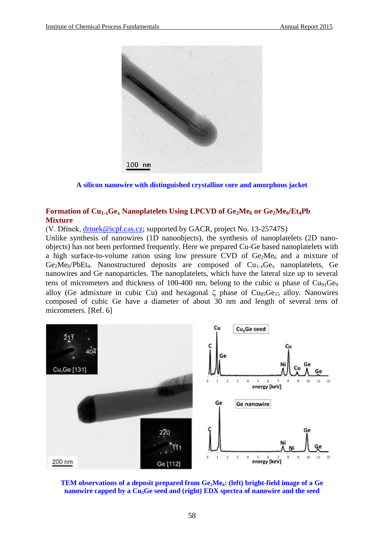![](_page_5_Picture_2.jpeg)

**A silicon nanowire with distinguished crystalline core and amorphous jacket**

# **Formation of Cu1-xGe<sup>x</sup> Nanoplatelets Using LPCVD of Ge2Me<sup>6</sup> or Ge2Me6/Et4Pb Mixture**

(V. Dřínek, [drinek@icpf.cas.cz;](mailto:drinek@icpf.cas.cz) supported by GACR, project No. 13-25747S)

Unlike synthesis of nanowires (1D nanoobjects), the synthesis of nanoplatelets (2D nanoobjects) has not been performed frequently. Here we prepared Cu-Ge based nanoplatelets with a high surface-to-volume ration using low pressure CVD of  $Ge_2Me_6$  and a mixture of  $Ge_2Me_6/PbEt_4$ . Nanostructured deposits are composed of  $Cu_{1-x}Ge_x$  nanoplatelets, Ge nanowires and Ge nanoparticles. The nanoplatelets, which have the lateral size up to several tens of micrometers and thickness of 100-400 nm, belong to the cubic  $\alpha$  phase of Cu<sub>91</sub>Ge<sub>9</sub> alloy (Ge admixture in cubic Cu) and hexagonal  $\zeta$  phase of Cu<sub>85</sub>Ge<sub>15</sub> alloy. Nanowires composed of cubic Ge have a diameter of about 30 nm and length of several tens of micrometers. [Ref. 6]

![](_page_5_Figure_7.jpeg)

![](_page_5_Figure_8.jpeg)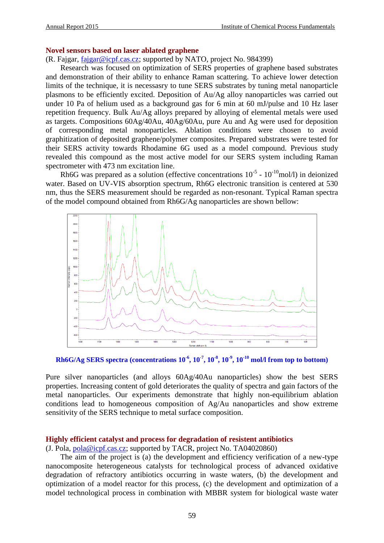#### **Novel sensors based on laser ablated graphene**

(R. Fajgar, [fajgar@icpf.cas.cz;](mailto:fajgar@icpf.cas.cz) supported by NATO, project No. 984399)

Research was focused on optimization of SERS properties of graphene based substrates and demonstration of their ability to enhance Raman scattering. To achieve lower detection limits of the technique, it is necessasry to tune SERS substrates by tuning metal nanoparticle plasmons to be efficiently excited. Deposition of Au/Ag alloy nanoparticles was carried out under 10 Pa of helium used as a background gas for 6 min at 60 mJ/pulse and 10 Hz laser repetition frequency. Bulk Au/Ag alloys prepared by alloying of elemental metals were used as targets. Compositions 60Ag/40Au, 40Ag/60Au, pure Au and Ag were used for deposition of corresponding metal nonoparticles. Ablation conditions were chosen to avoid graphitization of deposited graphene/polymer composites. Prepared substrates were tested for their SERS activity towards Rhodamine 6G used as a model compound. Previous study revealed this compound as the most active model for our SERS system including Raman spectrometer with 473 nm excitation line.

Rh6G was prepared as a solution (effective concentrations  $10^{-5}$  -  $10^{-10}$ mol/l) in deionized water. Based on UV-VIS absorption spectrum, Rh6G electronic transition is centered at 530 nm, thus the SERS measurement should be regarded as non-resonant. Typical Raman spectra of the model compound obtained from Rh6G/Ag nanoparticles are shown bellow:

![](_page_6_Figure_6.jpeg)

 $\mathbf{Rh6G/Ag}$   $\mathbf{SERS}$  spectra (concentrations  $10^{-6}$ ,  $10^{-7}$ ,  $10^{-8}$ ,  $10^{-9}$ ,  $10^{-10}$  mol/l from top to bottom)

Pure silver nanoparticles (and alloys 60Ag/40Au nanoparticles) show the best SERS properties. Increasing content of gold deteriorates the quality of spectra and gain factors of the metal nanoparticles. Our experiments demonstrate that highly non-equilibrium ablation conditions lead to homogeneous composition of Ag/Au nanoparticles and show extreme sensitivity of the SERS technique to metal surface composition.

#### **Highly efficient catalyst and process for degradation of resistent antibiotics**

(J. Pola, [pola@icpf.cas.cz;](mailto:pola@icpf.cas.cz) supported by TACR, project No. TA04020860)

The aim of the project is (a) the development and efficiency verification of a new-type nanocomposite heterogeneous catalysts for technological process of advanced oxidative degradation of refractory antibiotics occurring in waste waters, (b) the development and optimization of a model reactor for this process, (c) the development and optimization of a model technological process in combination with MBBR system for biological waste water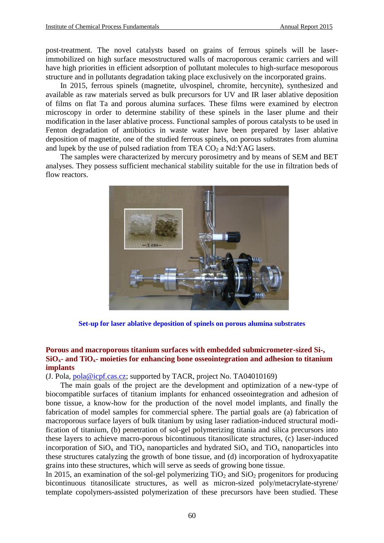post-treatment. The novel catalysts based on grains of ferrous spinels will be laserimmobilized on high surface mesostructured walls of macroporous ceramic carriers and will have high priorities in efficient adsorption of pollutant molecules to high-surface mesoporous structure and in pollutants degradation taking place exclusively on the incorporated grains.

In 2015, ferrous spinels (magnetite, ulvospinel, chromite, hercynite), synthesized and available as raw materials served as bulk precursors for UV and IR laser ablative deposition of films on flat Ta and porous alumina surfaces. These films were examined by electron microscopy in order to determine stability of these spinels in the laser plume and their modification in the laser ablative process. Functional samples of porous catalysts to be used in Fenton degradation of antibiotics in waste water have been prepared by laser ablative deposition of magnetite, one of the studied ferrous spinels, on porous substrates from alumina and lupek by the use of pulsed radiation from TEA  $CO<sub>2</sub>$  a Nd:YAG lasers.

The samples were characterized by mercury porosimetry and by means of SEM and BET analyses. They possess sufficient mechanical stability suitable for the use in filtration beds of flow reactors.

![](_page_7_Picture_5.jpeg)

**Set-up for laser ablative deposition of spinels on porous alumina substrates**

### **Porous and macroporous titanium surfaces with embedded submicrometer-sized Si-, SiOx- and TiOx- moieties for enhancing bone osseointegration and adhesion to titanium implants**

(J. Pola, [pola@icpf.cas.cz;](mailto:pola@icpf.cas.cz) supported by TACR, project No. TA04010169)

The main goals of the project are the development and optimization of a new-type of biocompatible surfaces of titanium implants for enhanced osseointegration and adhesion of bone tissue, a know-how for the production of the novel model implants, and finally the fabrication of model samples for commercial sphere. The partial goals are (a) fabrication of macroporous surface layers of bulk titanium by using laser radiation-induced structural modification of titanium, (b) penetration of sol-gel polymerizing titania and silica precursors into these layers to achieve macro-porous bicontinuous titanosilicate structures, (c) laser-induced incorporation of  $SiO_x$  and  $TiO_x$  nanoparticles and hydrated  $SiO_x$  and  $TiO_x$  nanoparticles into these structures catalyzing the growth of bone tissue, and (d) incorporation of hydroxyapatite grains into these structures, which will serve as seeds of growing bone tissue.

In 2015, an examination of the sol-gel polymerizing  $TiO<sub>2</sub>$  and  $SiO<sub>2</sub>$  progenitors for producing bicontinuous titanosilicate structures, as well as micron-sized poly/metacrylate-styrene/ template copolymers-assisted polymerization of these precursors have been studied. These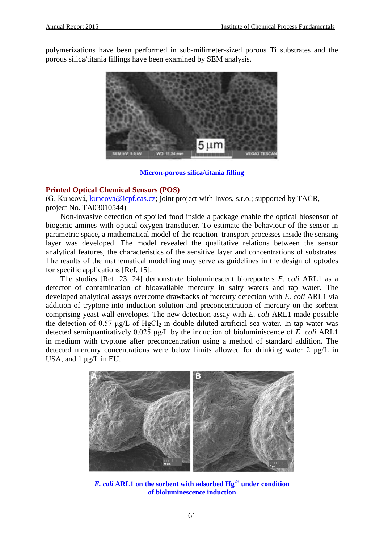polymerizations have been performed in sub-milimeter-sized porous Ti substrates and the porous silica/titania fillings have been examined by SEM analysis.

![](_page_8_Picture_3.jpeg)

#### **Micron-porous silica/titania filling**

### **Printed Optical Chemical Sensors (POS)**

(G. Kuncová, [kuncova@icpf.cas.cz;](mailto:kuncova@icpf.cas.cz) joint project with Invos, s.r.o.; supported by TACR, project No. TA03010544)

Non-invasive detection of spoiled food inside a package enable the optical biosensor of biogenic amines with optical oxygen transducer. To estimate the behaviour of the sensor in parametric space, a mathematical model of the reaction–transport processes inside the sensing layer was developed. The model revealed the qualitative relations between the sensor analytical features, the characteristics of the sensitive layer and concentrations of substrates. The results of the mathematical modelling may serve as guidelines in the design of optodes for specific applications [Ref. 15].

The studies [Ref. 23, 24] demonstrate bioluminescent bioreporters *E. coli* ARL1 as a detector of contamination of bioavailable mercury in salty waters and tap water. The developed analytical assays overcome drawbacks of mercury detection with *E. coli* ARL1 via addition of tryptone into induction solution and preconcentration of mercury on the sorbent comprising yeast wall envelopes. The new detection assay with *E. coli* ARL1 made possible the detection of 0.57 μg/L of HgCl<sub>2</sub> in double-diluted artificial sea water. In tap water was detected semiquantitatively 0.025 μg/L by the induction of bioluminiscence of *E. coli* ARL1 in medium with tryptone after preconcentration using a method of standard addition. The detected mercury concentrations were below limits allowed for drinking water 2 μg/L in USA, and 1 μg/L in EU.

![](_page_8_Picture_9.jpeg)

*E. coli* **ARL1 on the sorbent with adsorbed Hg2+ under condition of bioluminescence induction**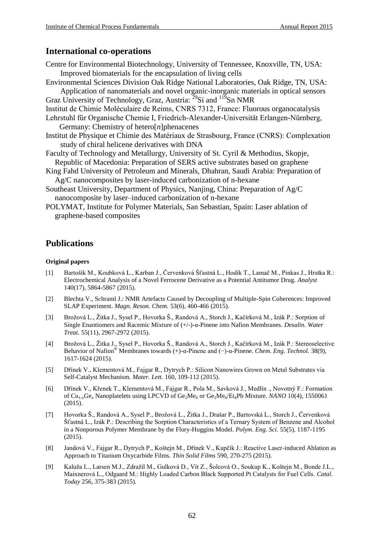# **International co-operations**

| Centre for Environmental Biotechnology, University of Tennessee, Knoxville, TN, USA:     |
|------------------------------------------------------------------------------------------|
| Improved biomaterials for the encapsulation of living cells                              |
| Environmental Sciences Division Oak Ridge National Laboratories, Oak Ridge, TN, USA:     |
| Application of nanomaterials and novel organic-inorganic materials in optical sensors    |
| Graz University of Technology, Graz, Austria: <sup>29</sup> Si and <sup>119</sup> Sn NMR |
| Institut de Chimie Moléculaire de Reims, CNRS 7312, France: Fluorous organocatalysis     |
| Lehrstuhl für Organische Chemie I, Friedrich-Alexander-Universität Erlangen-Nürnberg,    |
| Germany: Chemistry of hetero[ $n$ ] phenacenes                                           |
| Institut de Physique et Chimie des Matériaux de Strasbourg, France (CNRS): Complexation  |
| study of chiral helicene derivatives with DNA                                            |
| Faculty of Technology and Metallurgy, University of St. Cyril & Methodius, Skopje,       |
| Republic of Macedonia: Preparation of SERS active substrates based on graphene           |
| King Fahd University of Petroleum and Minerals, Dhahran, Saudi Arabia: Preparation of    |
| Ag/C nanocomposites by laser-induced carbonization of n-hexane                           |
| Southeast University, Department of Physics, Nanjing, China: Preparation of Ag/C         |
| nanocomposite by laser-induced carbonization of n-hexane                                 |
|                                                                                          |

POLYMAT, Institute for Polymer Materials, San Sebastian, Spain: Laser ablation of graphene-based composites

# **Publications**

#### **Original papers**

- [1] Bartošík M., Koubková L., Karban J., Červenková Šťastná L., Hodík T., Lamač M., Pinkas J., Hrstka R.: Electrochemical Analysis of a Novel Ferrocene Derivative as a Potential Antitumor Drug. *Analyst* 140(17), 5864-5867 (2015).
- [2] Blechta V., Schraml J.: NMR Artefacts Caused by Decoupling of Multiple-Spin Coherences: Improved SLAP Experiment. *Magn. Reson. Chem.* 53(6), 460-466 (2015).
- [3] Brožová L., Žitka J., Sysel P., Hovorka Š., Randová A., Storch J., Kačírková M., Izák P.: Sorption of Single Enantiomers and Racemic Mixture of (+/-)-α-Pinene into Nafion Membranes. *Desalin. Water Treat.* 55(11), 2967-2972 (2015).
- [4] Brožová L., Žitka J., Sysel P., Hovorka Š., Randová A., Storch J., Kačírková M., Izák P.: Stereoselective Behavior of Nafion® Membranes towards (+)-α-Pinene and (−)-α-Pinene. *Chem. Eng. Technol.* 38(9), 1617-1624 (2015).
- [5] Dřínek V., Klementová M., Fajgar R., Dytrych P.: Silicon Nanowires Grown on Metal Substrates via Self-Catalyst Mechanism. *Mater. Lett.* 160, 109-112 (2015).
- [6] Dřínek V., Křenek T., Klementová M., Fajgar R., Pola M., Savková J., Medlín ., Novotný F.: Formation of Cu<sub>1-x</sub>Ge<sub>x</sub> Nanoplatelets using LPCVD of Ge<sub>2</sub>Me<sub>6</sub> or Ge<sub>2</sub>Me<sub>6</sub>/Et<sub>4</sub>Pb Mixture. *NANO* 10(4), 1550061 (2015).
- [7] Hovorka Š., Randová A., Sysel P., Brožová L., Žitka J., Drašar P., Bartovská L., Storch J., Červenková Šťastná L., Izák P.: Describing the Sorption Characteristics of a Ternary System of Benzene and Alcohol in a Nonporous Polymer Membrane by the Flory-Huggins Model. *Polym. Eng. Sci.* 55(5), 1187-1195 (2015).
- [8] Jandová V., Fajgar R., Dytrych P., Koštejn M., Dřínek V., Kupčík J.: Reactive Laser-induced Ablation as Approach to Titanium Oxycarbide Films. *Thin Solid Films* 590, 270-275 (2015).
- [9] Kaluža L., Larsen M.J., Zdražil M., Gulková D., Vít Z., Šolcová O., Soukup K., Koštejn M., Bonde J.L., Maixnerová L., Odgaard M.: Highly Loaded Carbon Black Supported Pt Catalysts for Fuel Cells. *Catal. Today* 256, 375-383 (2015).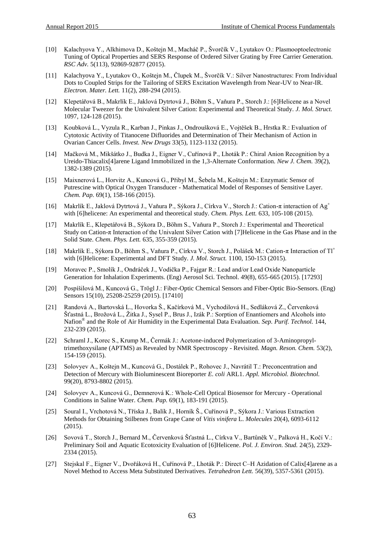- [10] Kalachyova Y., Alkhimova D., Koštejn M., Macháč P., Švorčík V., Lyutakov O.: Plasmooptoelectronic Tuning of Optical Properties and SERS Response of Ordered Silver Grating by Free Carrier Generation. *RSC Adv.* 5(113), 92869-92877 (2015).
- [11] Kalachyova Y., Lyutakov O., Koštejn M., Člupek M., Švorčík V.: Silver Nanostructures: From Individual Dots to Coupled Strips for the Tailoring of SERS Excitation Wavelength from Near-UV to Near-IR. *Electron. Mater. Lett.* 11(2), 288-294 (2015).
- [12] Klepetářová B., Makrlík E., Jaklová Dytrtová J., Böhm S., Vaňura P., Storch J.: [6]Helicene as a Novel Molecular Tweezer for the Univalent Silver Cation: Experimental and Theoretical Study. *J. Mol. Struct.* 1097, 124-128 (2015).
- [13] Koubková L., Vyzula R., Karban J., Pinkas J., Ondroušková E., Vojtěšek B., Hrstka R.: Evaluation of Cytotoxic Activity of Titanocene Difluorides and Determination of Their Mechanism of Action in Ovarian Cancer Cells. *Invest. New Drugs* 33(5), 1123-1132 (2015).
- [14] Mačková M., Mikšátko J., Budka J., Eigner V., Cuřínová P., Lhoták P.: Chiral Anion Recognition by a Ureido-Thiacalix[4]arene Ligand Immobilized in the 1,3-Alternate Conformation. *New J. Chem.* 39(2), 1382-1389 (2015).
- [15] Maixnerová L., Horvitz A., Kuncová G., Přibyl M., Šebela M., Koštejn M.: Enzymatic Sensor of Putrescine with Optical Oxygen Transducer - Mathematical Model of Responses of Sensitive Layer. *Chem. Pap.* 69(1), 158-166 (2015).
- [16] Makrlík E., Jaklová Dytrtová J., Vaňura P., Sýkora J., Církva V., Storch J.: Cation-π interaction of Ag<sup>+</sup> with [6]helicene: An experimental and theoretical study. *Chem. Phys. Lett.* 633, 105-108 (2015).
- [17] Makrlík E., Klepetářová B., Sýkora D., Böhm S., Vaňura P., Storch J.: Experimental and Theoretical Study on Cation-π Interaction of the Univalent Silver Cation with [7]Helicene in the Gas Phase and in the Solid State. *Chem. Phys. Lett.* 635, 355-359 (2015).
- [18] Makrlík E., Sýkora D., Böhm S., Vaňura P., Církva V., Storch J., Polášek M.: Cation-π Interaction of Tl<sup>+</sup> with [6]Helicene: Experimental and DFT Study. *J. Mol. Struct.* 1100, 150-153 (2015).
- [19] Moravec P., Smolík J., Ondráček J., Vodička P., Fajgar R.: Lead and/or Lead Oxide Nanoparticle Generation for Inhalation Experiments. (Eng) Aerosol Sci. Technol. 49(8), 655-665 (2015). [17293]
- [20] Pospíšilová M., Kuncová G., Trögl J.: Fiber-Optic Chemical Sensors and Fiber-Optic Bio-Sensors. (Eng) Sensors 15(10), 25208-25259 (2015). [17410]
- [21] Randová A., Bartovská L., Hovorka Š., Kačírková M., Vychodilová H., Sedláková Z., Červenková Šťastná L., Brožová L., Žitka J., Sysel P., Brus J., Izák P.: Sorption of Enantiomers and Alcohols into Nafion® and the Role of Air Humidity in the Experimental Data Evaluation. *Sep. Purif. Technol.* 144, 232-239 (2015).
- [22] Schraml J., Korec S., Krump M., Čermák J.: Acetone-induced Polymerization of 3-Aminopropyltrimethoxysilane (APTMS) as Revealed by NMR Spectroscopy - Revisited. *Magn. Reson. Chem.* 53(2), 154-159 (2015).
- [23] Solovyev A., Koštejn M., Kuncová G., Dostálek P., Rohovec J., Navrátil T.: Preconcentration and Detection of Mercury with Bioluminescent Bioreporter *E. coli* ARL1. *Appl. Microbiol. Biotechnol.* 99(20), 8793-8802 (2015).
- [24] Solovyev A., Kuncová G., Demnerová K.: Whole-Cell Optical Biosensor for Mercury Operational Conditions in Saline Water. *Chem. Pap.* 69(1), 183-191 (2015).
- [25] Soural I., Vrchotová N., Tříska J., Balík J., Horník Š., Cuřínová P., Sýkora J.: Various Extraction Methods for Obtaining Stilbenes from Grape Cane of *Vitis vinifera* L. *Molecules* 20(4), 6093-6112 (2015).
- [26] Sovová T., Storch J., Bernard M., Červenková Šťastná L., Církva V., Bartůněk V., Palková H., Kočí V.: Preliminary Soil and Aquatic Ecotoxicity Evaluation of [6]Helicene. *Pol. J. Environ. Stud.* 24(5), 2329- 2334 (2015).
- [27] Stejskal F., Eigner V., Dvořáková H., Cuřínová P., Lhoták P.: Direct C–H Azidation of Calix[4]arene as a Novel Method to Access Meta Substituted Derivatives. *Tetrahedron Lett.* 56(39), 5357-5361 (2015).